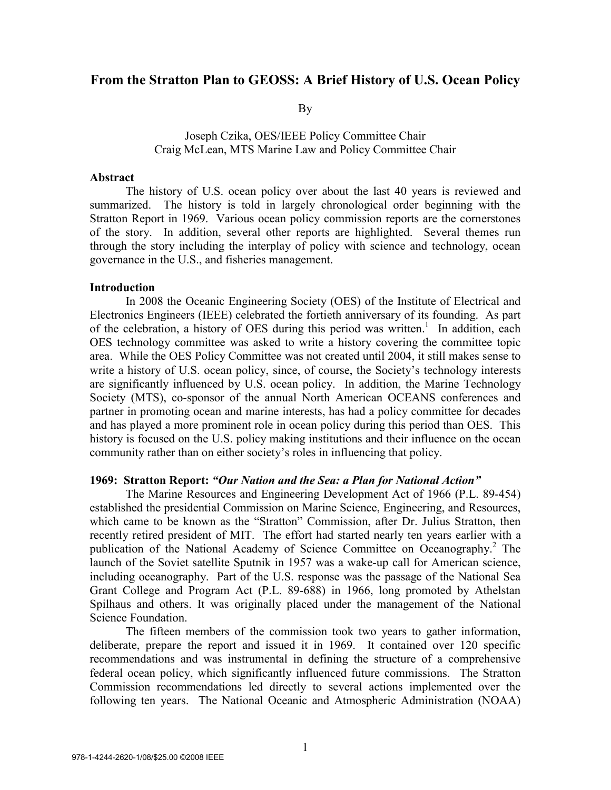# **From the Stratton Plan to GEOSS: A Brief History of U.S. Ocean Policy**

By

## Joseph Czika, OES/IEEE Policy Committee Chair Craig McLean, MTS Marine Law and Policy Committee Chair

### **Abstract**

The history of U.S. ocean policy over about the last 40 years is reviewed and summarized. The history is told in largely chronological order beginning with the Stratton Report in 1969. Various ocean policy commission reports are the cornerstones of the story. In addition, several other reports are highlighted. Several themes run through the story including the interplay of policy with science and technology, ocean governance in the U.S., and fisheries management.

### **Introduction**

In 2008 the Oceanic Engineering Society (OES) of the Institute of Electrical and Electronics Engineers (IEEE) celebrated the fortieth anniversary of its founding. As part of the celebration, a history of OES during this period was written.<sup>1</sup> In addition, each OES technology committee was asked to write a history covering the committee topic area. While the OES Policy Committee was not created until 2004, it still makes sense to write a history of U.S. ocean policy, since, of course, the Society's technology interests are significantly influenced by U.S. ocean policy. In addition, the Marine Technology Society (MTS), co-sponsor of the annual North American OCEANS conferences and partner in promoting ocean and marine interests, has had a policy committee for decades and has played a more prominent role in ocean policy during this period than OES. This history is focused on the U.S. policy making institutions and their influence on the ocean community rather than on either society's roles in influencing that policy.

#### **1969: Stratton Report:** *"Our Nation and the Sea: a Plan for National Action"*

The Marine Resources and Engineering Development Act of 1966 (P.L. 89-454) established the presidential Commission on Marine Science, Engineering, and Resources, which came to be known as the "Stratton" Commission, after Dr. Julius Stratton, then recently retired president of MIT. The effort had started nearly ten years earlier with a publication of the National Academy of Science Committee on Oceanography.<sup>2</sup> The launch of the Soviet satellite Sputnik in 1957 was a wake-up call for American science, including oceanography. Part of the U.S. response was the passage of the National Sea Grant College and Program Act (P.L. 89-688) in 1966, long promoted by Athelstan Spilhaus and others. It was originally placed under the management of the National Science Foundation.

The fifteen members of the commission took two years to gather information, deliberate, prepare the report and issued it in 1969. It contained over 120 specific recommendations and was instrumental in defining the structure of a comprehensive federal ocean policy, which significantly influenced future commissions. The Stratton Commission recommendations led directly to several actions implemented over the following ten years. The National Oceanic and Atmospheric Administration (NOAA)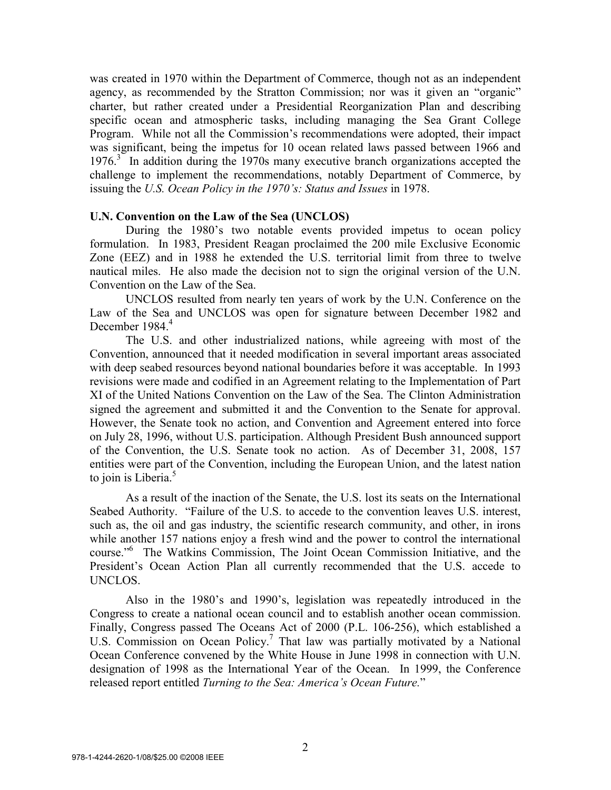was created in 1970 within the Department of Commerce, though not as an independent agency, as recommended by the Stratton Commission; nor was it given an "organic" charter, but rather created under a Presidential Reorganization Plan and describing specific ocean and atmospheric tasks, including managing the Sea Grant College Program. While not all the Commission's recommendations were adopted, their impact was significant, being the impetus for 10 ocean related laws passed between 1966 and 1976.<sup>3</sup> In addition during the 1970s many executive branch organizations accepted the challenge to implement the recommendations, notably Department of Commerce, by issuing the *U.S. Ocean Policy in the 1970's: Status and Issues* in 1978.

### **U.N. Convention on the Law of the Sea (UNCLOS)**

During the 1980's two notable events provided impetus to ocean policy formulation. In 1983, President Reagan proclaimed the 200 mile Exclusive Economic Zone (EEZ) and in 1988 he extended the U.S. territorial limit from three to twelve nautical miles. He also made the decision not to sign the original version of the U.N. Convention on the Law of the Sea.

UNCLOS resulted from nearly ten years of work by the U.N. Conference on the Law of the Sea and UNCLOS was open for signature between December 1982 and December 1984.<sup>4</sup>

The U.S. and other industrialized nations, while agreeing with most of the Convention, announced that it needed modification in several important areas associated with deep seabed resources beyond national boundaries before it was acceptable. In 1993 revisions were made and codified in an Agreement relating to the Implementation of Part XI of the United Nations Convention on the Law of the Sea. The Clinton Administration signed the agreement and submitted it and the Convention to the Senate for approval. However, the Senate took no action, and Convention and Agreement entered into force on July 28, 1996, without U.S. participation. Although President Bush announced support of the Convention, the U.S. Senate took no action. As of December 31, 2008, 157 entities were part of the Convention, including the European Union, and the latest nation to join is Liberia.<sup>5</sup>

 As a result of the inaction of the Senate, the U.S. lost its seats on the International Seabed Authority. "Failure of the U.S. to accede to the convention leaves U.S. interest, such as, the oil and gas industry, the scientific research community, and other, in irons while another 157 nations enjoy a fresh wind and the power to control the international course."6 The Watkins Commission, The Joint Ocean Commission Initiative, and the President's Ocean Action Plan all currently recommended that the U.S. accede to UNCLOS.

Also in the 1980's and 1990's, legislation was repeatedly introduced in the Congress to create a national ocean council and to establish another ocean commission. Finally, Congress passed The Oceans Act of 2000 (P.L. 106-256), which established a U.S. Commission on Ocean Policy.<sup>7</sup> That law was partially motivated by a National Ocean Conference convened by the White House in June 1998 in connection with U.N. designation of 1998 as the International Year of the Ocean. In 1999, the Conference released report entitled *Turning to the Sea: America's Ocean Future.*"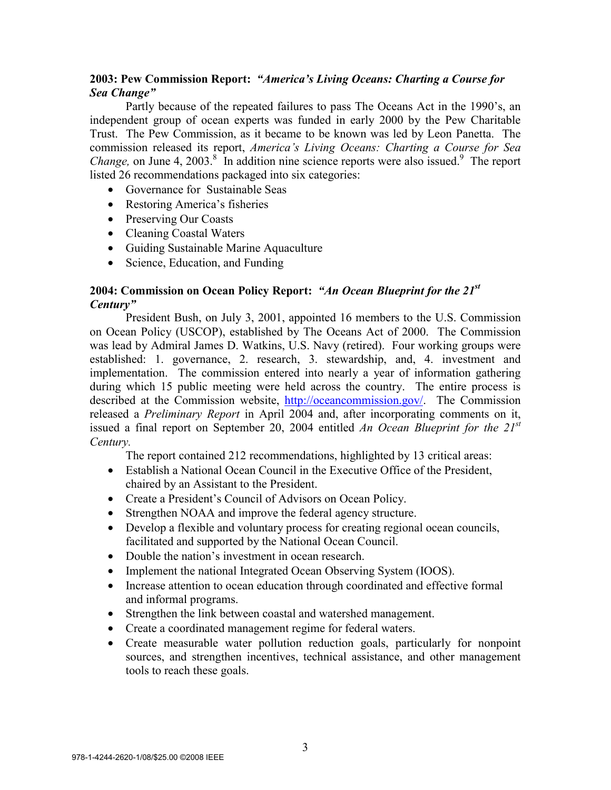# **2003: Pew Commission Report:** *"America's Living Oceans: Charting a Course for Sea Change"*

 Partly because of the repeated failures to pass The Oceans Act in the 1990's, an independent group of ocean experts was funded in early 2000 by the Pew Charitable Trust. The Pew Commission, as it became to be known was led by Leon Panetta. The commission released its report, *America's Living Oceans: Charting a Course for Sea Change*, on June 4, 2003.<sup>8</sup> In addition nine science reports were also issued.<sup>9</sup> The report listed 26 recommendations packaged into six categories:

- Governance for Sustainable Seas
- Restoring America's fisheries
- Preserving Our Coasts
- Cleaning Coastal Waters
- Guiding Sustainable Marine Aquaculture
- Science, Education, and Funding

# **2004: Commission on Ocean Policy Report:** *"An Ocean Blueprint for the 21st Century"*

 President Bush, on July 3, 2001, appointed 16 members to the U.S. Commission on Ocean Policy (USCOP), established by The Oceans Act of 2000. The Commission was lead by Admiral James D. Watkins, U.S. Navy (retired). Four working groups were established: 1. governance, 2. research, 3. stewardship, and, 4. investment and implementation. The commission entered into nearly a year of information gathering during which 15 public meeting were held across the country. The entire process is described at the Commission website, http://oceancommission.gov/. The Commission released a *Preliminary Report* in April 2004 and, after incorporating comments on it, issued a final report on September 20, 2004 entitled *An Ocean Blueprint for the 21st Century.*

The report contained 212 recommendations, highlighted by 13 critical areas:

- Establish a National Ocean Council in the Executive Office of the President, chaired by an Assistant to the President.
- Create a President's Council of Advisors on Ocean Policy.
- Strengthen NOAA and improve the federal agency structure.
- Develop a flexible and voluntary process for creating regional ocean councils, facilitated and supported by the National Ocean Council.
- Double the nation's investment in ocean research.
- Implement the national Integrated Ocean Observing System (IOOS).
- Increase attention to ocean education through coordinated and effective formal and informal programs.
- Strengthen the link between coastal and watershed management.
- Create a coordinated management regime for federal waters.
- Create measurable water pollution reduction goals, particularly for nonpoint sources, and strengthen incentives, technical assistance, and other management tools to reach these goals.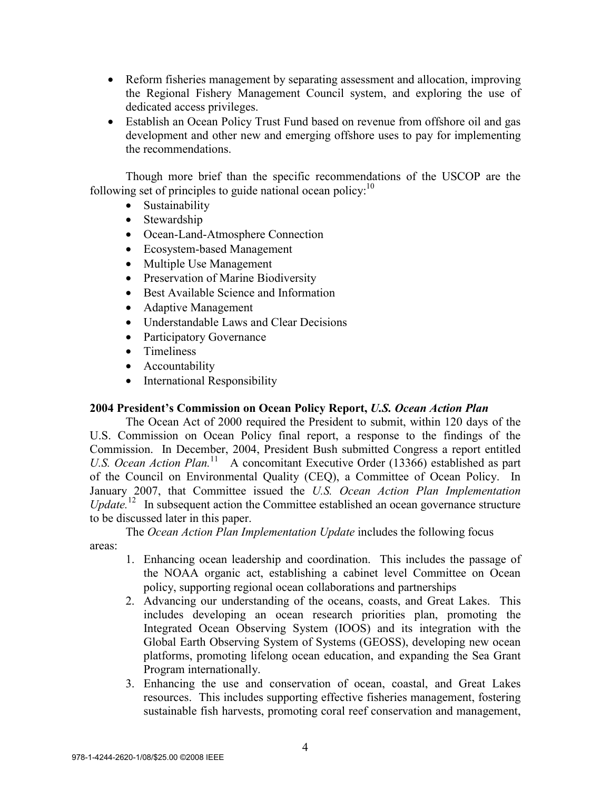- Reform fisheries management by separating assessment and allocation, improving the Regional Fishery Management Council system, and exploring the use of dedicated access privileges.
- Establish an Ocean Policy Trust Fund based on revenue from offshore oil and gas development and other new and emerging offshore uses to pay for implementing the recommendations.

Though more brief than the specific recommendations of the USCOP are the following set of principles to guide national ocean policy: $10$ 

- Sustainability
- Stewardship
- Ocean-Land-Atmosphere Connection
- Ecosystem-based Management
- Multiple Use Management
- Preservation of Marine Biodiversity
- Best Available Science and Information
- Adaptive Management
- Understandable Laws and Clear Decisions
- Participatory Governance
- Timeliness
- Accountability
- International Responsibility

# **2004 President's Commission on Ocean Policy Report,** *U.S. Ocean Action Plan*

The Ocean Act of 2000 required the President to submit, within 120 days of the U.S. Commission on Ocean Policy final report, a response to the findings of the Commission. In December, 2004, President Bush submitted Congress a report entitled *U.S. Ocean Action Plan.*<sup>11</sup> A concomitant Executive Order (13366) established as part of the Council on Environmental Quality (CEQ), a Committee of Ocean Policy. In January 2007, that Committee issued the *U.S. Ocean Action Plan Implementation Update.*12 In subsequent action the Committee established an ocean governance structure to be discussed later in this paper.

The *Ocean Action Plan Implementation Update* includes the following focus areas:

- 1. Enhancing ocean leadership and coordination. This includes the passage of the NOAA organic act, establishing a cabinet level Committee on Ocean policy, supporting regional ocean collaborations and partnerships
- 2. Advancing our understanding of the oceans, coasts, and Great Lakes. This includes developing an ocean research priorities plan, promoting the Integrated Ocean Observing System (IOOS) and its integration with the Global Earth Observing System of Systems (GEOSS), developing new ocean platforms, promoting lifelong ocean education, and expanding the Sea Grant Program internationally.
- 3. Enhancing the use and conservation of ocean, coastal, and Great Lakes resources. This includes supporting effective fisheries management, fostering sustainable fish harvests, promoting coral reef conservation and management,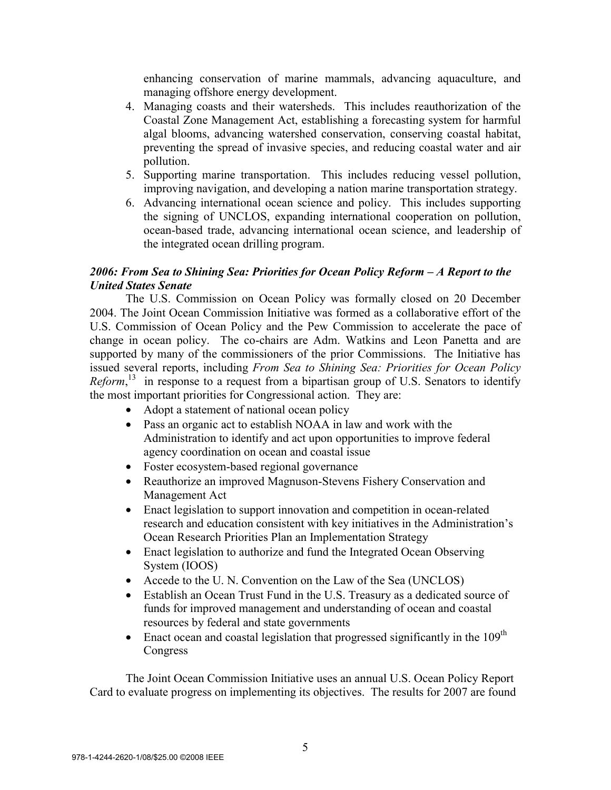enhancing conservation of marine mammals, advancing aquaculture, and managing offshore energy development.

- 4. Managing coasts and their watersheds. This includes reauthorization of the Coastal Zone Management Act, establishing a forecasting system for harmful algal blooms, advancing watershed conservation, conserving coastal habitat, preventing the spread of invasive species, and reducing coastal water and air pollution.
- 5. Supporting marine transportation. This includes reducing vessel pollution, improving navigation, and developing a nation marine transportation strategy.
- 6. Advancing international ocean science and policy. This includes supporting the signing of UNCLOS, expanding international cooperation on pollution, ocean-based trade, advancing international ocean science, and leadership of the integrated ocean drilling program.

# *2006: From Sea to Shining Sea: Priorities for Ocean Policy Reform – A Report to the United States Senate*

The U.S. Commission on Ocean Policy was formally closed on 20 December 2004. The Joint Ocean Commission Initiative was formed as a collaborative effort of the U.S. Commission of Ocean Policy and the Pew Commission to accelerate the pace of change in ocean policy. The co-chairs are Adm. Watkins and Leon Panetta and are supported by many of the commissioners of the prior Commissions. The Initiative has issued several reports, including *From Sea to Shining Sea: Priorities for Ocean Policy*  Reform,<sup>13</sup> in response to a request from a bipartisan group of U.S. Senators to identify the most important priorities for Congressional action. They are:

- Adopt a statement of national ocean policy
- Pass an organic act to establish NOAA in law and work with the Administration to identify and act upon opportunities to improve federal agency coordination on ocean and coastal issue
- Foster ecosystem-based regional governance
- Reauthorize an improved Magnuson-Stevens Fishery Conservation and Management Act
- Enact legislation to support innovation and competition in ocean-related research and education consistent with key initiatives in the Administration's Ocean Research Priorities Plan an Implementation Strategy
- Enact legislation to authorize and fund the Integrated Ocean Observing System (IOOS)
- Accede to the U. N. Convention on the Law of the Sea (UNCLOS)
- Establish an Ocean Trust Fund in the U.S. Treasury as a dedicated source of funds for improved management and understanding of ocean and coastal resources by federal and state governments
- Enact ocean and coastal legislation that progressed significantly in the  $109<sup>th</sup>$ Congress

The Joint Ocean Commission Initiative uses an annual U.S. Ocean Policy Report Card to evaluate progress on implementing its objectives. The results for 2007 are found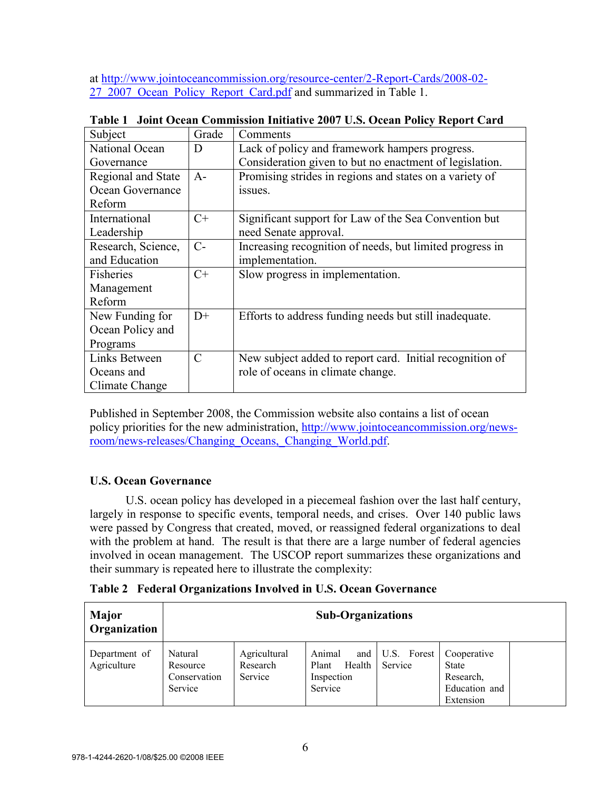at http://www.jointoceancommission.org/resource-center/2-Report-Cards/2008-02- 27\_2007\_Ocean\_Policy\_Report\_Card.pdf and summarized in Table 1.

| Subject            | Grade         | Comments                                                 |
|--------------------|---------------|----------------------------------------------------------|
| National Ocean     | D             | Lack of policy and framework hampers progress.           |
| Governance         |               | Consideration given to but no enactment of legislation.  |
| Regional and State | $A-$          | Promising strides in regions and states on a variety of  |
| Ocean Governance   |               | issues.                                                  |
| Reform             |               |                                                          |
| International      | $C+$          | Significant support for Law of the Sea Convention but    |
| Leadership         |               | need Senate approval.                                    |
| Research, Science, | $C-$          | Increasing recognition of needs, but limited progress in |
| and Education      |               | implementation.                                          |
| Fisheries          | $C+$          | Slow progress in implementation.                         |
| Management         |               |                                                          |
| Reform             |               |                                                          |
| New Funding for    | $D+$          | Efforts to address funding needs but still inadequate.   |
| Ocean Policy and   |               |                                                          |
| Programs           |               |                                                          |
| Links Between      | $\mathcal{C}$ | New subject added to report card. Initial recognition of |
| Oceans and         |               | role of oceans in climate change.                        |
| Climate Change     |               |                                                          |

 **Table 1 Joint Ocean Commission Initiative 2007 U.S. Ocean Policy Report Card** 

Published in September 2008, the Commission website also contains a list of ocean policy priorities for the new administration, http://www.jointoceancommission.org/newsroom/news-releases/Changing\_Oceans,\_Changing\_World.pdf.

# **U.S. Ocean Governance**

 U.S. ocean policy has developed in a piecemeal fashion over the last half century, largely in response to specific events, temporal needs, and crises. Over 140 public laws were passed by Congress that created, moved, or reassigned federal organizations to deal with the problem at hand. The result is that there are a large number of federal agencies involved in ocean management. The USCOP report summarizes these organizations and their summary is repeated here to illustrate the complexity:

**Table 2 Federal Organizations Involved in U.S. Ocean Governance** 

| <b>Major</b><br>Organization | <b>Sub-Organizations</b>                       |                                     |                                                           |                        |                                                                        |
|------------------------------|------------------------------------------------|-------------------------------------|-----------------------------------------------------------|------------------------|------------------------------------------------------------------------|
| Department of<br>Agriculture | Natural<br>Resource<br>Conservation<br>Service | Agricultural<br>Research<br>Service | Animal<br>and<br>Health<br>Plant<br>Inspection<br>Service | U.S. Forest<br>Service | Cooperative<br><b>State</b><br>Research,<br>Education and<br>Extension |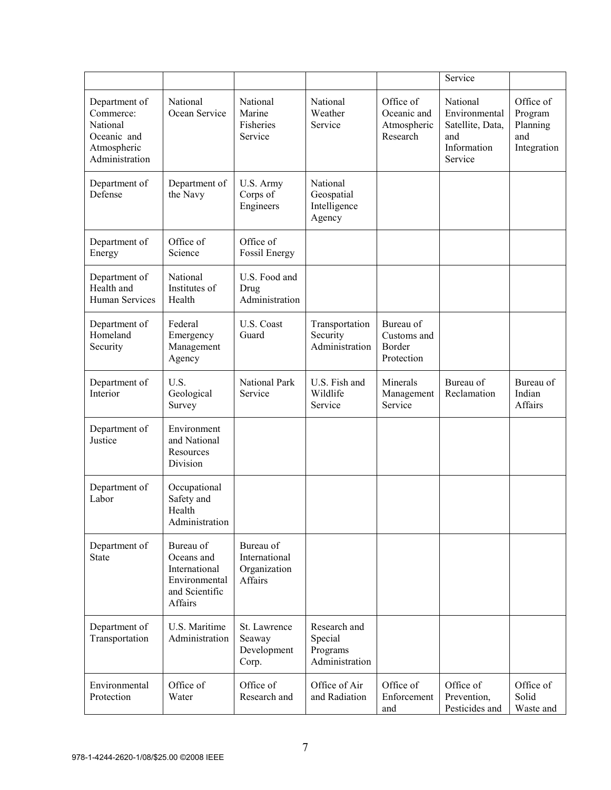|                                                                                        |                                                                                        |                                                       |                                                       |                                                     | Service                                                                        |                                                        |
|----------------------------------------------------------------------------------------|----------------------------------------------------------------------------------------|-------------------------------------------------------|-------------------------------------------------------|-----------------------------------------------------|--------------------------------------------------------------------------------|--------------------------------------------------------|
| Department of<br>Commerce:<br>National<br>Oceanic and<br>Atmospheric<br>Administration | National<br>Ocean Service                                                              | National<br>Marine<br>Fisheries<br>Service            | National<br>Weather<br>Service                        | Office of<br>Oceanic and<br>Atmospheric<br>Research | National<br>Environmental<br>Satellite, Data,<br>and<br>Information<br>Service | Office of<br>Program<br>Planning<br>and<br>Integration |
| Department of<br>Defense                                                               | Department of<br>the Navy                                                              | U.S. Army<br>Corps of<br>Engineers                    | National<br>Geospatial<br>Intelligence<br>Agency      |                                                     |                                                                                |                                                        |
| Department of<br>Energy                                                                | Office of<br>Science                                                                   | Office of<br>Fossil Energy                            |                                                       |                                                     |                                                                                |                                                        |
| Department of<br>Health and<br><b>Human Services</b>                                   | National<br>Institutes of<br>Health                                                    | U.S. Food and<br>Drug<br>Administration               |                                                       |                                                     |                                                                                |                                                        |
| Department of<br>Homeland<br>Security                                                  | Federal<br>Emergency<br>Management<br>Agency                                           | U.S. Coast<br>Guard                                   | Transportation<br>Security<br>Administration          | Bureau of<br>Customs and<br>Border<br>Protection    |                                                                                |                                                        |
| Department of<br>Interior                                                              | U.S.<br>Geological<br>Survey                                                           | <b>National Park</b><br>Service                       | U.S. Fish and<br>Wildlife<br>Service                  | Minerals<br>Management<br>Service                   | Bureau of<br>Reclamation                                                       | Bureau of<br>Indian<br>Affairs                         |
| Department of<br>Justice                                                               | Environment<br>and National<br>Resources<br>Division                                   |                                                       |                                                       |                                                     |                                                                                |                                                        |
| Department of<br>Labor                                                                 | Occupational<br>Safety and<br>Health<br>Administration                                 |                                                       |                                                       |                                                     |                                                                                |                                                        |
| Department of<br><b>State</b>                                                          | Bureau of<br>Oceans and<br>International<br>Environmental<br>and Scientific<br>Affairs | Bureau of<br>International<br>Organization<br>Affairs |                                                       |                                                     |                                                                                |                                                        |
| Department of<br>Transportation                                                        | U.S. Maritime<br>Administration                                                        | St. Lawrence<br>Seaway<br>Development<br>Corp.        | Research and<br>Special<br>Programs<br>Administration |                                                     |                                                                                |                                                        |
| Environmental<br>Protection                                                            | Office of<br>Water                                                                     | Office of<br>Research and                             | Office of Air<br>and Radiation                        | Office of<br>Enforcement<br>and                     | Office of<br>Prevention,<br>Pesticides and                                     | Office of<br>Solid<br>Waste and                        |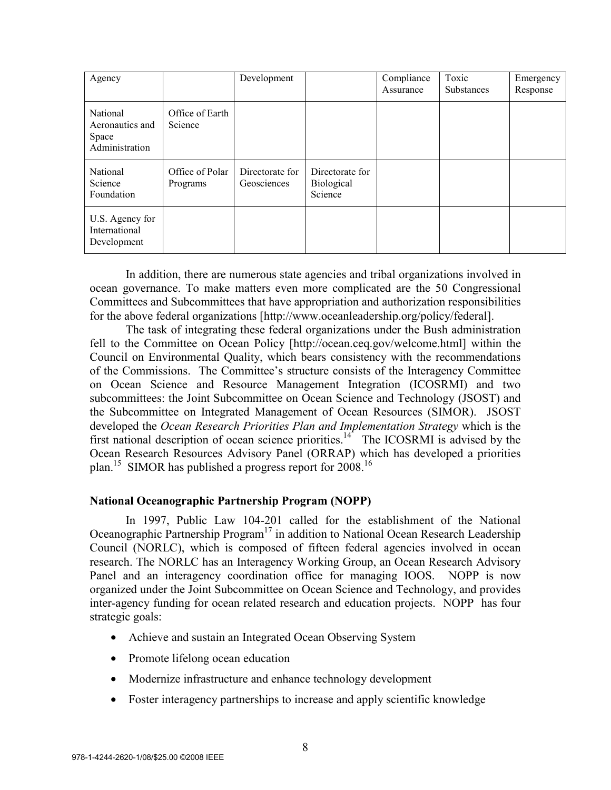| Agency                                                        |                             | Development                    |                                          | Compliance<br>Assurance | Toxic<br><b>Substances</b> | Emergency<br>Response |
|---------------------------------------------------------------|-----------------------------|--------------------------------|------------------------------------------|-------------------------|----------------------------|-----------------------|
| <b>National</b><br>Aeronautics and<br>Space<br>Administration | Office of Earth<br>Science  |                                |                                          |                         |                            |                       |
| <b>National</b><br>Science<br>Foundation                      | Office of Polar<br>Programs | Directorate for<br>Geosciences | Directorate for<br>Biological<br>Science |                         |                            |                       |
| U.S. Agency for<br>International<br>Development               |                             |                                |                                          |                         |                            |                       |

In addition, there are numerous state agencies and tribal organizations involved in ocean governance. To make matters even more complicated are the 50 Congressional Committees and Subcommittees that have appropriation and authorization responsibilities for the above federal organizations [http://www.oceanleadership.org/policy/federal].

The task of integrating these federal organizations under the Bush administration fell to the Committee on Ocean Policy [http://ocean.ceq.gov/welcome.html] within the Council on Environmental Quality, which bears consistency with the recommendations of the Commissions. The Committee's structure consists of the Interagency Committee on Ocean Science and Resource Management Integration (ICOSRMI) and two subcommittees: the Joint Subcommittee on Ocean Science and Technology (JSOST) and the Subcommittee on Integrated Management of Ocean Resources (SIMOR). JSOST developed the *Ocean Research Priorities Plan and Implementation Strategy* which is the first national description of ocean science priorities.<sup>14</sup> The ICOSRMI is advised by the Ocean Research Resources Advisory Panel (ORRAP) which has developed a priorities plan.<sup>15</sup> SIMOR has published a progress report for  $2008$ <sup>16</sup>

## **National Oceanographic Partnership Program (NOPP)**

In 1997, Public Law 104-201 called for the establishment of the National Oceanographic Partnership Program<sup>17</sup> in addition to National Ocean Research Leadership Council (NORLC), which is composed of fifteen federal agencies involved in ocean research. The NORLC has an Interagency Working Group, an Ocean Research Advisory Panel and an interagency coordination office for managing IOOS. NOPP is now organized under the Joint Subcommittee on Ocean Science and Technology, and provides inter-agency funding for ocean related research and education projects. NOPP has four strategic goals:

- Achieve and sustain an Integrated Ocean Observing System
- Promote lifelong ocean education
- Modernize infrastructure and enhance technology development
- Foster interagency partnerships to increase and apply scientific knowledge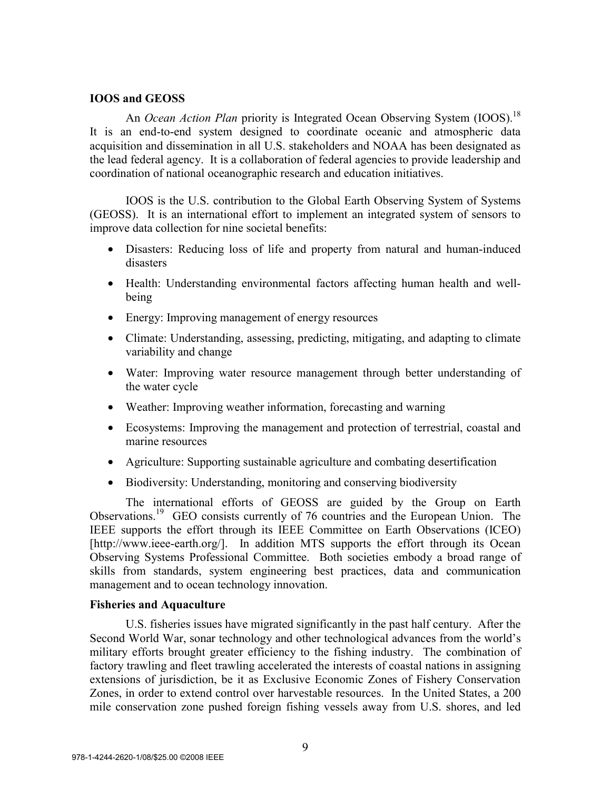## **IOOS and GEOSS**

An *Ocean Action Plan* priority is Integrated Ocean Observing System (IOOS).<sup>18</sup> It is an end-to-end system designed to coordinate oceanic and atmospheric data acquisition and dissemination in all U.S. stakeholders and NOAA has been designated as the lead federal agency. It is a collaboration of federal agencies to provide leadership and coordination of national oceanographic research and education initiatives.

IOOS is the U.S. contribution to the Global Earth Observing System of Systems (GEOSS). It is an international effort to implement an integrated system of sensors to improve data collection for nine societal benefits:

- Disasters: Reducing loss of life and property from natural and human-induced disasters
- Health: Understanding environmental factors affecting human health and wellbeing
- Energy: Improving management of energy resources
- Climate: Understanding, assessing, predicting, mitigating, and adapting to climate variability and change
- Water: Improving water resource management through better understanding of the water cycle
- Weather: Improving weather information, forecasting and warning
- Ecosystems: Improving the management and protection of terrestrial, coastal and marine resources
- Agriculture: Supporting sustainable agriculture and combating desertification
- Biodiversity: Understanding, monitoring and conserving biodiversity

The international efforts of GEOSS are guided by the Group on Earth Observations.19 GEO consists currently of 76 countries and the European Union. The IEEE supports the effort through its IEEE Committee on Earth Observations (ICEO) [http://www.ieee-earth.org/]. In addition MTS supports the effort through its Ocean Observing Systems Professional Committee. Both societies embody a broad range of skills from standards, system engineering best practices, data and communication management and to ocean technology innovation.

## **Fisheries and Aquaculture**

 U.S. fisheries issues have migrated significantly in the past half century. After the Second World War, sonar technology and other technological advances from the world's military efforts brought greater efficiency to the fishing industry. The combination of factory trawling and fleet trawling accelerated the interests of coastal nations in assigning extensions of jurisdiction, be it as Exclusive Economic Zones of Fishery Conservation Zones, in order to extend control over harvestable resources. In the United States, a 200 mile conservation zone pushed foreign fishing vessels away from U.S. shores, and led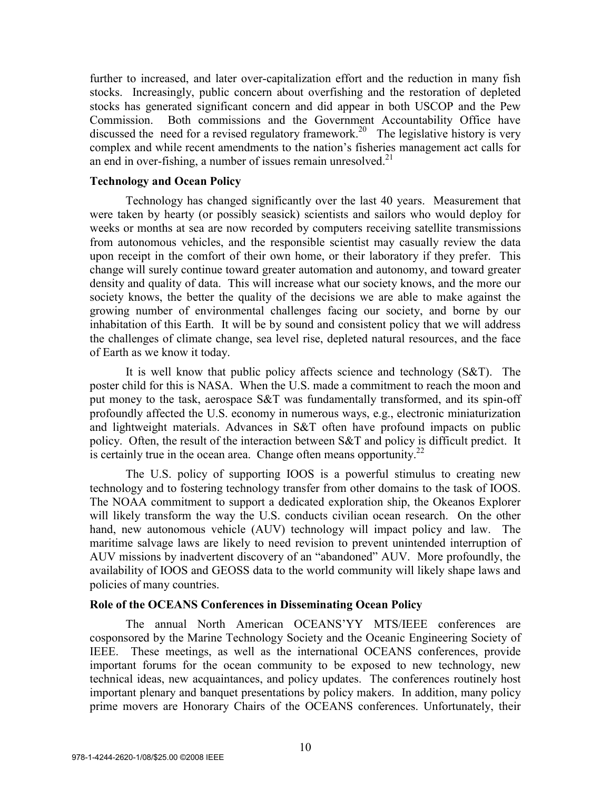further to increased, and later over-capitalization effort and the reduction in many fish stocks. Increasingly, public concern about overfishing and the restoration of depleted stocks has generated significant concern and did appear in both USCOP and the Pew Commission. Both commissions and the Government Accountability Office have discussed the need for a revised regulatory framework.<sup>20</sup> The legislative history is very complex and while recent amendments to the nation's fisheries management act calls for an end in over-fishing, a number of issues remain unresolved. $21$ 

## **Technology and Ocean Policy**

 Technology has changed significantly over the last 40 years. Measurement that were taken by hearty (or possibly seasick) scientists and sailors who would deploy for weeks or months at sea are now recorded by computers receiving satellite transmissions from autonomous vehicles, and the responsible scientist may casually review the data upon receipt in the comfort of their own home, or their laboratory if they prefer. This change will surely continue toward greater automation and autonomy, and toward greater density and quality of data. This will increase what our society knows, and the more our society knows, the better the quality of the decisions we are able to make against the growing number of environmental challenges facing our society, and borne by our inhabitation of this Earth. It will be by sound and consistent policy that we will address the challenges of climate change, sea level rise, depleted natural resources, and the face of Earth as we know it today.

It is well know that public policy affects science and technology  $(S\&T)$ . The poster child for this is NASA. When the U.S. made a commitment to reach the moon and put money to the task, aerospace S&T was fundamentally transformed, and its spin-off profoundly affected the U.S. economy in numerous ways, e.g., electronic miniaturization and lightweight materials. Advances in S&T often have profound impacts on public policy. Often, the result of the interaction between S&T and policy is difficult predict. It is certainly true in the ocean area. Change often means opportunity.<sup>22</sup>

 The U.S. policy of supporting IOOS is a powerful stimulus to creating new technology and to fostering technology transfer from other domains to the task of IOOS. The NOAA commitment to support a dedicated exploration ship, the Okeanos Explorer will likely transform the way the U.S. conducts civilian ocean research. On the other hand, new autonomous vehicle (AUV) technology will impact policy and law. The maritime salvage laws are likely to need revision to prevent unintended interruption of AUV missions by inadvertent discovery of an "abandoned" AUV. More profoundly, the availability of IOOS and GEOSS data to the world community will likely shape laws and policies of many countries.

## **Role of the OCEANS Conferences in Disseminating Ocean Policy**

 The annual North American OCEANS'YY MTS/IEEE conferences are cosponsored by the Marine Technology Society and the Oceanic Engineering Society of IEEE. These meetings, as well as the international OCEANS conferences, provide important forums for the ocean community to be exposed to new technology, new technical ideas, new acquaintances, and policy updates. The conferences routinely host important plenary and banquet presentations by policy makers. In addition, many policy prime movers are Honorary Chairs of the OCEANS conferences. Unfortunately, their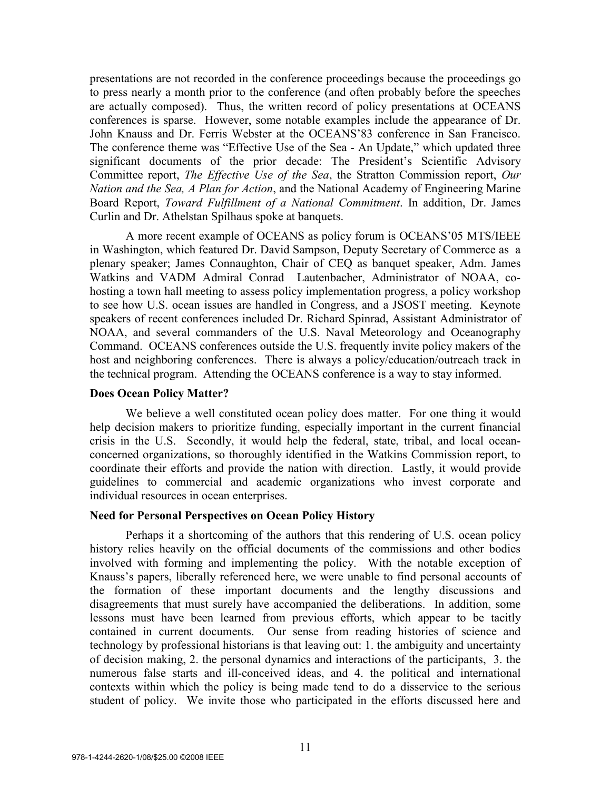presentations are not recorded in the conference proceedings because the proceedings go to press nearly a month prior to the conference (and often probably before the speeches are actually composed). Thus, the written record of policy presentations at OCEANS conferences is sparse. However, some notable examples include the appearance of Dr. John Knauss and Dr. Ferris Webster at the OCEANS'83 conference in San Francisco. The conference theme was "Effective Use of the Sea - An Update," which updated three significant documents of the prior decade: The President's Scientific Advisory Committee report, *The Effective Use of the Sea*, the Stratton Commission report, *Our Nation and the Sea, A Plan for Action*, and the National Academy of Engineering Marine Board Report, *Toward Fulfillment of a National Commitment*. In addition, Dr. James Curlin and Dr. Athelstan Spilhaus spoke at banquets.

A more recent example of OCEANS as policy forum is OCEANS'05 MTS/IEEE in Washington, which featured Dr. David Sampson, Deputy Secretary of Commerce as a plenary speaker; James Connaughton, Chair of CEQ as banquet speaker, Adm. James Watkins and VADM Admiral Conrad Lautenbacher, Administrator of NOAA, cohosting a town hall meeting to assess policy implementation progress, a policy workshop to see how U.S. ocean issues are handled in Congress, and a JSOST meeting. Keynote speakers of recent conferences included Dr. Richard Spinrad, Assistant Administrator of NOAA, and several commanders of the U.S. Naval Meteorology and Oceanography Command. OCEANS conferences outside the U.S. frequently invite policy makers of the host and neighboring conferences. There is always a policy/education/outreach track in the technical program. Attending the OCEANS conference is a way to stay informed.

### **Does Ocean Policy Matter?**

We believe a well constituted ocean policy does matter. For one thing it would help decision makers to prioritize funding, especially important in the current financial crisis in the U.S. Secondly, it would help the federal, state, tribal, and local oceanconcerned organizations, so thoroughly identified in the Watkins Commission report, to coordinate their efforts and provide the nation with direction. Lastly, it would provide guidelines to commercial and academic organizations who invest corporate and individual resources in ocean enterprises.

### **Need for Personal Perspectives on Ocean Policy History**

 Perhaps it a shortcoming of the authors that this rendering of U.S. ocean policy history relies heavily on the official documents of the commissions and other bodies involved with forming and implementing the policy. With the notable exception of Knauss's papers, liberally referenced here, we were unable to find personal accounts of the formation of these important documents and the lengthy discussions and disagreements that must surely have accompanied the deliberations. In addition, some lessons must have been learned from previous efforts, which appear to be tacitly contained in current documents. Our sense from reading histories of science and technology by professional historians is that leaving out: 1. the ambiguity and uncertainty of decision making, 2. the personal dynamics and interactions of the participants, 3. the numerous false starts and ill-conceived ideas, and 4. the political and international contexts within which the policy is being made tend to do a disservice to the serious student of policy. We invite those who participated in the efforts discussed here and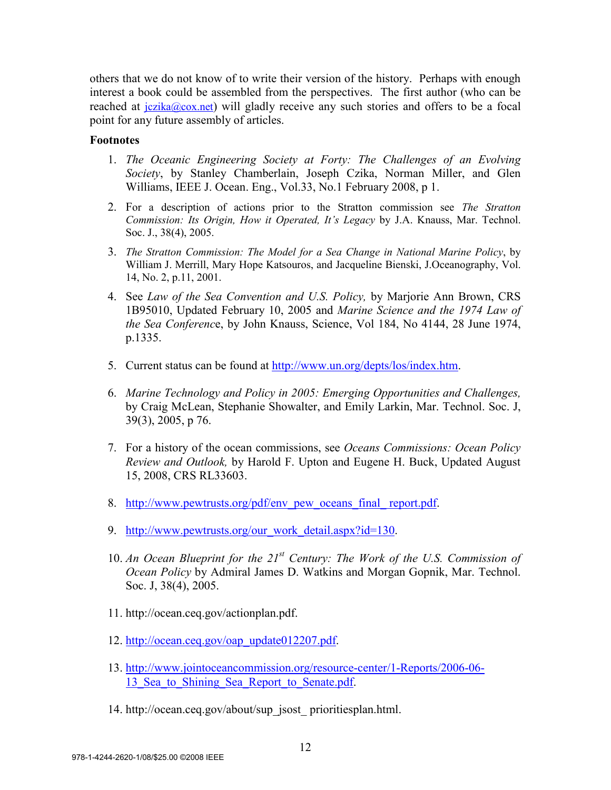others that we do not know of to write their version of the history. Perhaps with enough interest a book could be assembled from the perspectives. The first author (who can be reached at  $iczika@cox.net$ ) will gladly receive any such stories and offers to be a focal point for any future assembly of articles.

## **Footnotes**

- 1. *The Oceanic Engineering Society at Forty: The Challenges of an Evolving Society*, by Stanley Chamberlain, Joseph Czika, Norman Miller, and Glen Williams, IEEE J. Ocean. Eng., Vol.33, No.1 February 2008, p 1.
- 2. For a description of actions prior to the Stratton commission see *The Stratton Commission: Its Origin, How it Operated, It's Legacy* by J.A. Knauss, Mar. Technol. Soc. J., 38(4), 2005.
- 3. *The Stratton Commission: The Model for a Sea Change in National Marine Policy*, by William J. Merrill, Mary Hope Katsouros, and Jacqueline Bienski, J.Oceanography, Vol. 14, No. 2, p.11, 2001.
- 4. See *Law of the Sea Convention and U.S. Policy,* by Marjorie Ann Brown, CRS 1B95010, Updated February 10, 2005 and *Marine Science and the 1974 Law of the Sea Conferenc*e, by John Knauss, Science, Vol 184, No 4144, 28 June 1974, p.1335.
- 5. Current status can be found at http://www.un.org/depts/los/index.htm.
- 6. *Marine Technology and Policy in 2005: Emerging Opportunities and Challenges,* by Craig McLean, Stephanie Showalter, and Emily Larkin, Mar. Technol. Soc. J, 39(3), 2005, p 76.
- 7. For a history of the ocean commissions, see *Oceans Commissions: Ocean Policy Review and Outlook,* by Harold F. Upton and Eugene H. Buck, Updated August 15, 2008, CRS RL33603.
- 8. http://www.pewtrusts.org/pdf/env\_pew\_oceans\_final\_ report.pdf.
- 9. http://www.pewtrusts.org/our\_work\_detail.aspx?id=130.
- 10. *An Ocean Blueprint for the 21st Century: The Work of the U.S. Commission of Ocean Policy* by Admiral James D. Watkins and Morgan Gopnik, Mar. Technol. Soc. J, 38(4), 2005.
- 11. http://ocean.ceq.gov/actionplan.pdf.
- 12. http://ocean.ceq.gov/oap\_update012207.pdf.
- 13. http://www.jointoceancommission.org/resource-center/1-Reports/2006-06- 13 Sea to Shining Sea Report to Senate.pdf.
- 14. http://ocean.ceq.gov/about/sup\_jsost\_ prioritiesplan.html.